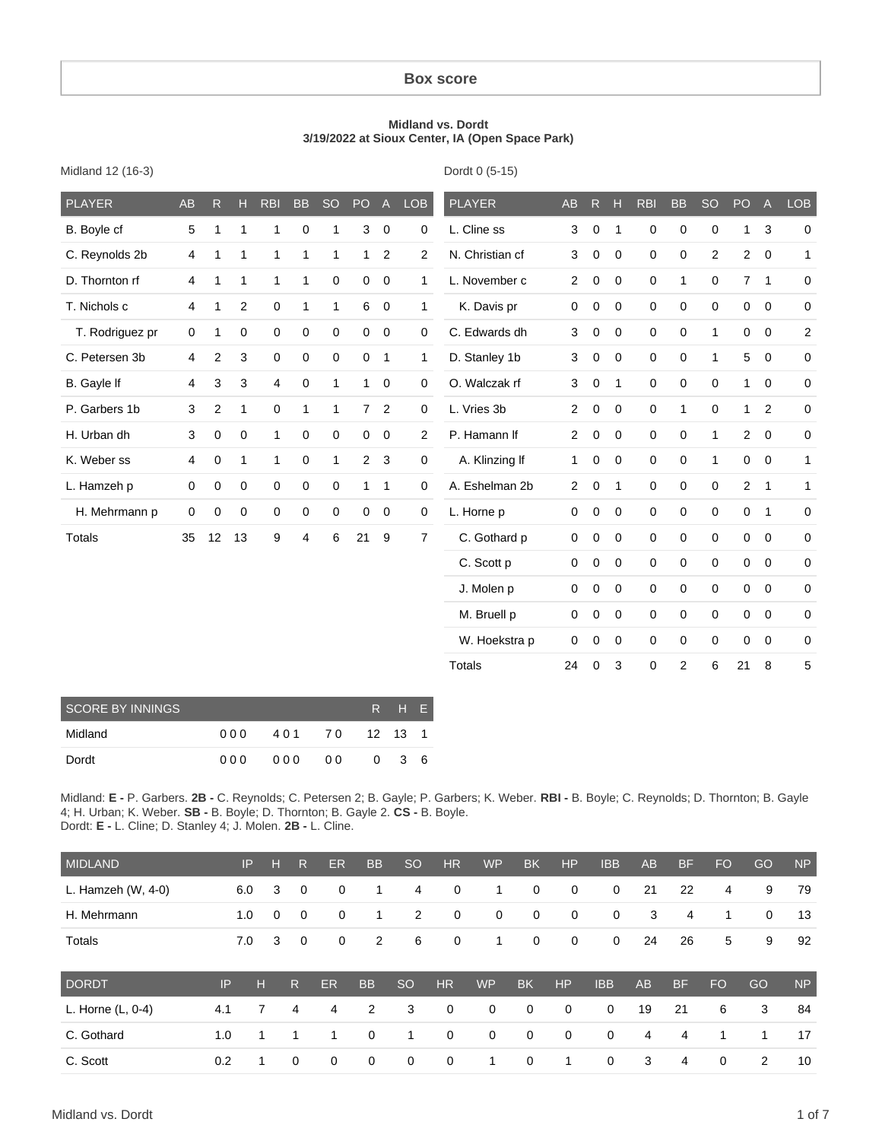#### **Box score**

#### **Midland vs. Dordt 3/19/2022 at Sioux Center, IA (Open Space Park)**

Dordt 0 (5-15)

| <b>PLAYER</b>   | <b>AB</b>      | R.           | H            | <b>RBI</b>   | <b>BB</b>    | <b>SO</b>    | PO             | $\mathsf{A}% _{\mathsf{A}}^{\prime}=\mathsf{A}_{\mathsf{A}}^{\prime}$ | <b>LOB</b>     | <b>PLAYER</b>   | <b>AB</b>      | R           | Н            | <b>RBI</b>  | <b>BB</b>           | <b>SO</b>      | PO             | A                   | <b>LOB</b>   |
|-----------------|----------------|--------------|--------------|--------------|--------------|--------------|----------------|-----------------------------------------------------------------------|----------------|-----------------|----------------|-------------|--------------|-------------|---------------------|----------------|----------------|---------------------|--------------|
| B. Boyle cf     | 5              | $\mathbf{1}$ | $\mathbf{1}$ | $\mathbf{1}$ | $\mathbf 0$  | 1            | 3              | $\overline{0}$                                                        | 0              | L. Cline ss     | 3              | 0           | 1            | $\mathbf 0$ | $\mathbf 0$         | $\mathbf 0$    | 1              | $\mathbf{3}$        | 0            |
| C. Reynolds 2b  | $\overline{4}$ | 1            | $\mathbf{1}$ | $\mathbf{1}$ | 1            | 1            | $\mathbf{1}$   | 2                                                                     | $\overline{2}$ | N. Christian cf | 3              | 0           | $\mathbf 0$  | $\mathbf 0$ | 0                   | $\overline{2}$ | $\overline{2}$ | $\mathbf 0$         | $\mathbf{1}$ |
| D. Thornton rf  | 4              | 1            | $\mathbf{1}$ | $\mathbf{1}$ | 1            | 0            | 0              | $\mathbf 0$                                                           | 1              | L. November c   | $\overline{2}$ | 0           | $\mathbf 0$  | $\mathbf 0$ | $\mathbf{1}$        | $\mathbf 0$    | $\overline{7}$ | $\mathbf{1}$        | 0            |
| T. Nichols c    | 4              | 1            | 2            | $\mathbf 0$  | $\mathbf{1}$ | $\mathbf{1}$ | 6              | 0                                                                     | 1              | K. Davis pr     | $\mathbf 0$    | 0           | $\mathbf 0$  | $\mathbf 0$ | 0                   | $\mathbf 0$    | $\mathbf 0$    | $\mathbf 0$         | $\mathbf 0$  |
| T. Rodriguez pr | $\mathbf 0$    | 1            | 0            | $\mathbf 0$  | $\mathbf 0$  | 0            | 0              | $\mathbf 0$                                                           | 0              | C. Edwards dh   | 3              | 0           | $\mathbf 0$  | $\mathbf 0$ | $\mathbf 0$         | 1              | 0              | $\mathbf 0$         | 2            |
| C. Petersen 3b  | 4              | 2            | 3            | $\mathbf 0$  | 0            | 0            | 0              | $\mathbf{1}$                                                          | $\mathbf{1}$   | D. Stanley 1b   | 3              | 0           | $\Omega$     | $\mathbf 0$ | $\mathbf 0$         | $\mathbf{1}$   | 5              | $\mathbf 0$         | 0            |
| B. Gayle If     | 4              | 3            | 3            | 4            | $\mathbf 0$  | 1            | 1              | $\mathbf 0$                                                           | 0              | O. Walczak rf   | 3              | 0           | $\mathbf 1$  | $\mathbf 0$ | $\mathbf 0$         | $\mathbf 0$    | $\mathbf{1}$   | $\mathbf 0$         | 0            |
| P. Garbers 1b   | 3              | 2            | $\mathbf{1}$ | 0            | 1            | 1            | $\overline{7}$ | $\overline{c}$                                                        | 0              | L. Vries 3b     | $\overline{2}$ | 0           | $\mathbf 0$  | $\mathbf 0$ | 1                   | $\mathbf 0$    | 1              | $\overline{2}$      | $\pmb{0}$    |
| H. Urban dh     | 3              | 0            | $\mathbf 0$  | $\mathbf{1}$ | 0            | $\mathbf 0$  | 0              | $\mathbf 0$                                                           | $\overline{2}$ | P. Hamann If    | $\overline{2}$ | $\mathbf 0$ | $\mathbf 0$  | $\mathbf 0$ | 0                   | 1              | $\overline{2}$ | $\mathbf 0$         | 0            |
| K. Weber ss     | $\overline{4}$ | 0            | $\mathbf{1}$ | $\mathbf{1}$ | 0            | $\mathbf{1}$ | $\overline{2}$ | 3                                                                     | 0              | A. Klinzing If  | $\mathbf{1}$   | $\mathbf 0$ | $\Omega$     | $\mathbf 0$ | $\mathbf 0$         | 1              | 0              | $\mathbf 0$         | 1            |
| L. Hamzeh p     | $\mathbf 0$    | 0            | $\mathbf 0$  | $\mathbf 0$  | 0            | 0            | $\mathbf{1}$   | $\mathbf{1}$                                                          | 0              | A. Eshelman 2b  | $\overline{2}$ | $\mathbf 0$ | $\mathbf{1}$ | $\mathbf 0$ | $\mathbf 0$         | $\mathbf 0$    | $\overline{2}$ | $\mathbf{1}$        | 1            |
| H. Mehrmann p   | 0              | 0            | 0            | $\mathbf 0$  | 0            | 0            | 0              | $\mathbf 0$                                                           | 0              | L. Horne p      | $\mathbf 0$    | 0           | $\mathbf 0$  | $\mathbf 0$ | $\mathbf 0$         | $\mathbf 0$    | $\mathbf 0$    | $\mathbf{1}$        | 0            |
| Totals          | 35             | 12           | 13           | 9            | 4            | 6            | 21             | 9                                                                     | $\overline{7}$ | C. Gothard p    | $\mathbf 0$    | 0           | $\mathbf 0$  | $\mathbf 0$ | $\mathbf 0$         | $\mathbf 0$    | $\mathbf 0$    | $\mathbf 0$         | 0            |
|                 |                |              |              |              |              |              |                |                                                                       |                | C. Scott p      | 0              | 0           | $\Omega$     | $\mathbf 0$ | $\mathbf 0$         | $\mathbf 0$    | $\mathbf 0$    | $\mathbf 0$         | 0            |
|                 |                |              |              |              |              |              |                |                                                                       |                | J. Molen p      | $\mathbf 0$    | $\mathbf 0$ | $\mathbf 0$  | $\pmb{0}$   | $\mathsf{O}\xspace$ | $\mathbf 0$    | $\mathbf 0$    | $\mathbf 0$         | $\pmb{0}$    |
|                 |                |              |              |              |              |              |                |                                                                       |                | M. Bruell p     | $\mathbf 0$    | $\mathbf 0$ | $\mathbf 0$  | $\pmb{0}$   | $\mathsf{O}\xspace$ | 0              | $\mathbf 0$    | $\mathsf{O}\xspace$ | 0            |
|                 |                |              |              |              |              |              |                |                                                                       |                | W. Hoekstra p   | $\mathbf 0$    | 0           | $\mathbf 0$  | $\mathbf 0$ | $\mathbf 0$         | $\mathbf 0$    | 0              | $\mathbf 0$         | 0            |
|                 |                |              |              |              |              |              |                |                                                                       |                | <b>Totals</b>   | 24             | 0           | 3            | $\mathbf 0$ | 2                   | 6              | 21             | 8                   | 5            |

| <b>SCORE BY INNINGS</b><br>R H F |     |        |  |               |   |     |  |  |  |  |  |
|----------------------------------|-----|--------|--|---------------|---|-----|--|--|--|--|--|
| Midland                          | 000 | 401 70 |  | $12 \t13 \t1$ |   |     |  |  |  |  |  |
| Dordt                            | 000 | 000    |  | 0             | 3 | - 6 |  |  |  |  |  |

Midland: **E -** P. Garbers. **2B -** C. Reynolds; C. Petersen 2; B. Gayle; P. Garbers; K. Weber. **RBI -** B. Boyle; C. Reynolds; D. Thornton; B. Gayle 4; H. Urban; K. Weber. **SB -** B. Boyle; D. Thornton; B. Gayle 2. **CS -** B. Boyle. Dordt: **E -** L. Cline; D. Stanley 4; J. Molen. **2B -** L. Cline.

| MIDLAND            |     | IP. | н           | R.             | <b>ER</b>   | <b>BB</b>   | <b>SO</b>      | <b>HR</b>   | <b>WP</b>    | <b>BK</b>   | <b>HP</b>    | <b>IBB</b>  | <b>AB</b> | <b>BF</b> | <b>FO</b>   | GO             | <b>NP</b> |
|--------------------|-----|-----|-------------|----------------|-------------|-------------|----------------|-------------|--------------|-------------|--------------|-------------|-----------|-----------|-------------|----------------|-----------|
| L. Hamzeh (W, 4-0) |     | 6.0 | 3           | $\mathbf 0$    | $\mathbf 0$ | 1           | 4              | $\mathbf 0$ | 1            | $\mathbf 0$ | $\mathbf 0$  | $\mathbf 0$ | 21        | 22        | 4           | 9              | 79        |
| H. Mehrmann        |     | 1.0 | $\mathbf 0$ | $\mathbf 0$    | $\mathbf 0$ | 1           | $\overline{2}$ | $\mathbf 0$ | $\mathbf 0$  | $\mathbf 0$ | $\mathbf 0$  | $\mathbf 0$ | 3         | 4         | 1           | $\mathbf 0$    | 13        |
| Totals             |     | 7.0 | 3           | $\overline{0}$ | $\mathbf 0$ | 2           | 6              | $\mathbf 0$ | 1            | $\mathbf 0$ | $\mathbf 0$  | $\mathbf 0$ | 24        | 26        | 5           | 9              | 92        |
| <b>DORDT</b>       | IP  | н   |             | $\mathsf{R}$   | <b>ER</b>   | <b>BB</b>   | <b>SO</b>      | <b>HR</b>   | <b>WP</b>    | <b>BK</b>   | HP           | <b>IBB</b>  | AB        | <b>BF</b> | <b>FO</b>   | GO             | <b>NP</b> |
| L. Horne (L, 0-4)  | 4.1 | 7   |             | 4              | 4           | 2           | 3              | $\mathbf 0$ | $\mathbf{0}$ | $\mathbf 0$ | $\mathbf 0$  | $\mathbf 0$ | 19        | 21        | 6           | 3              | 84        |
| C. Gothard         | 1.0 | 1   |             |                | 1           | $\mathbf 0$ | 1              | $\mathbf 0$ | $\mathbf 0$  | $\mathbf 0$ | $\mathbf 0$  | 0           | 4         | 4         | 1           | 1              | 17        |
| C. Scott           | 0.2 |     |             | 0              | $\mathbf 0$ | $\mathbf 0$ | $\mathbf 0$    | $\mathbf 0$ | 1            | $\mathbf 0$ | $\mathbf{1}$ | $\mathbf 0$ | 3         | 4         | $\mathbf 0$ | $\overline{2}$ | 10        |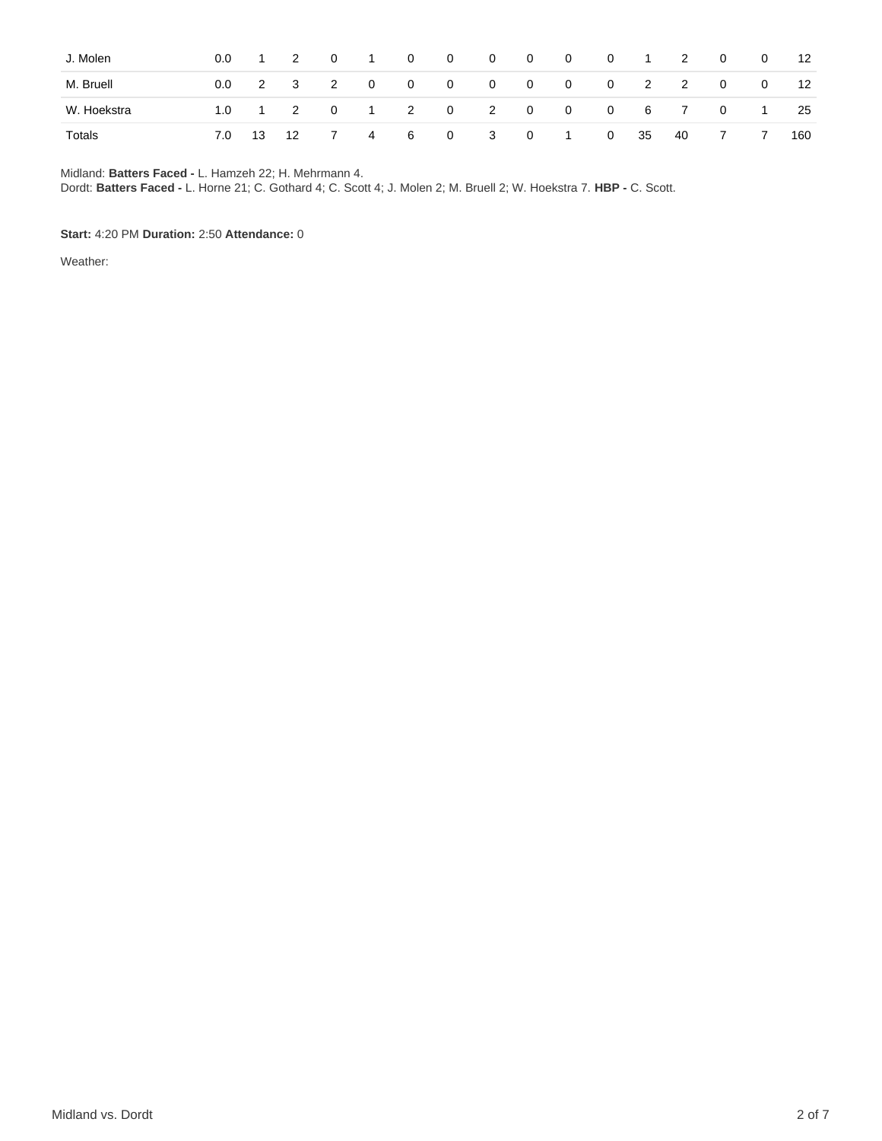| J. Molen    | $0.0\,$ | $\overline{1}$ | 2 |   | $0 \qquad 1$ | $\overline{0}$ | $\overline{\mathbf{0}}$ | $\begin{matrix}0&0\end{matrix}$ |                | $\overline{\mathbf{0}}$ | $\overline{0}$          |    | $1 \t2$  | $\overline{0}$ | $\overline{\mathbf{0}}$ | 12  |
|-------------|---------|----------------|---|---|--------------|----------------|-------------------------|---------------------------------|----------------|-------------------------|-------------------------|----|----------|----------------|-------------------------|-----|
| M. Bruell   | $0.0\,$ |                |   |   |              | 2 3 2 0 0 0    |                         | $\begin{matrix}0&0\end{matrix}$ |                | $\overline{\mathbf{0}}$ | $\overline{\mathbf{0}}$ |    | $2 \t 2$ |                | $0\qquad 0$             | 12  |
| W. Hoekstra | 1.0     |                |   |   |              |                | 1 2 0 1 2 0 2 0         |                                 |                | 0 0 6 7 0 1             |                         |    |          |                |                         | 25  |
| Totals      | 7.0     | 13 12          |   | 7 |              | 4 6 0          |                         | $\overline{\mathbf{3}}$         | $\overline{0}$ | $\cdot$ 1 $\cdot$ 1     | $\overline{\mathbf{0}}$ | 35 | 40       | $\overline{7}$ | $\overline{7}$          | 160 |

Midland: **Batters Faced -** L. Hamzeh 22; H. Mehrmann 4.

Dordt: **Batters Faced -** L. Horne 21; C. Gothard 4; C. Scott 4; J. Molen 2; M. Bruell 2; W. Hoekstra 7. **HBP -** C. Scott.

#### **Start:** 4:20 PM **Duration:** 2:50 **Attendance:** 0

Weather: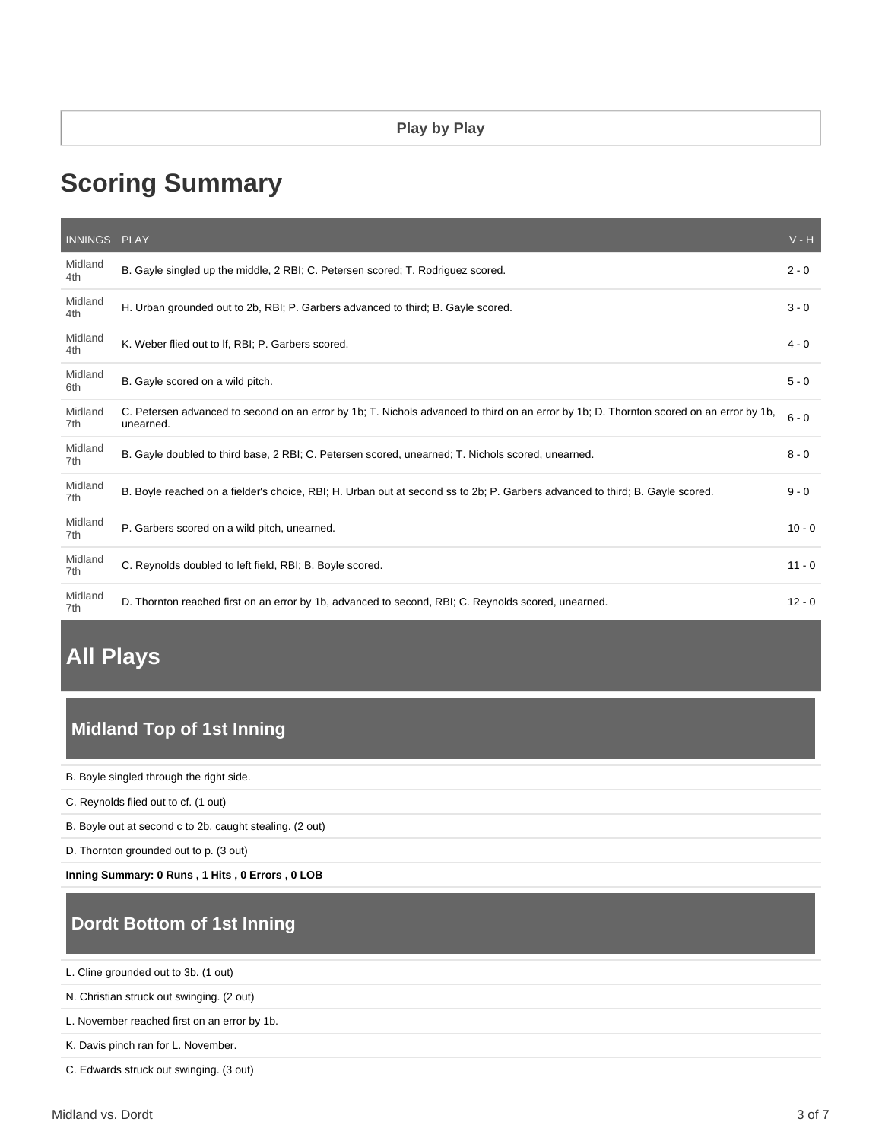# **Scoring Summary**

| INNINGS PLAY   |                                                                                                                                                      | $V - H$  |
|----------------|------------------------------------------------------------------------------------------------------------------------------------------------------|----------|
| Midland<br>4th | B. Gayle singled up the middle, 2 RBI; C. Petersen scored; T. Rodriguez scored.                                                                      | $2 - 0$  |
| Midland<br>4th | H. Urban grounded out to 2b, RBI; P. Garbers advanced to third; B. Gayle scored.                                                                     | $3 - 0$  |
| Midland<br>4th | K. Weber flied out to If, RBI; P. Garbers scored.                                                                                                    | $4 - 0$  |
| Midland<br>6th | B. Gayle scored on a wild pitch.                                                                                                                     | $5 - 0$  |
| Midland<br>7th | C. Petersen advanced to second on an error by 1b; T. Nichols advanced to third on an error by 1b; D. Thornton scored on an error by 1b,<br>unearned. | $6 - 0$  |
| Midland<br>7th | B. Gayle doubled to third base, 2 RBI; C. Petersen scored, unearned; T. Nichols scored, unearned.                                                    | $8 - 0$  |
| Midland<br>7th | B. Boyle reached on a fielder's choice, RBI; H. Urban out at second ss to 2b; P. Garbers advanced to third; B. Gayle scored.                         | $9 - 0$  |
| Midland<br>7th | P. Garbers scored on a wild pitch, unearned.                                                                                                         | $10 - 0$ |
| Midland<br>7th | C. Reynolds doubled to left field, RBI; B. Boyle scored.                                                                                             | $11 - 0$ |
| Midland<br>7th | D. Thornton reached first on an error by 1b, advanced to second, RBI; C. Reynolds scored, unearned.                                                  | $12 - 0$ |

## **All Plays**

## **Midland Top of 1st Inning**

B. Boyle singled through the right side.

- C. Reynolds flied out to cf. (1 out)
- B. Boyle out at second c to 2b, caught stealing. (2 out)

D. Thornton grounded out to p. (3 out)

**Inning Summary: 0 Runs , 1 Hits , 0 Errors , 0 LOB**

## **Dordt Bottom of 1st Inning**

L. Cline grounded out to 3b. (1 out)

N. Christian struck out swinging. (2 out)

L. November reached first on an error by 1b.

K. Davis pinch ran for L. November.

C. Edwards struck out swinging. (3 out)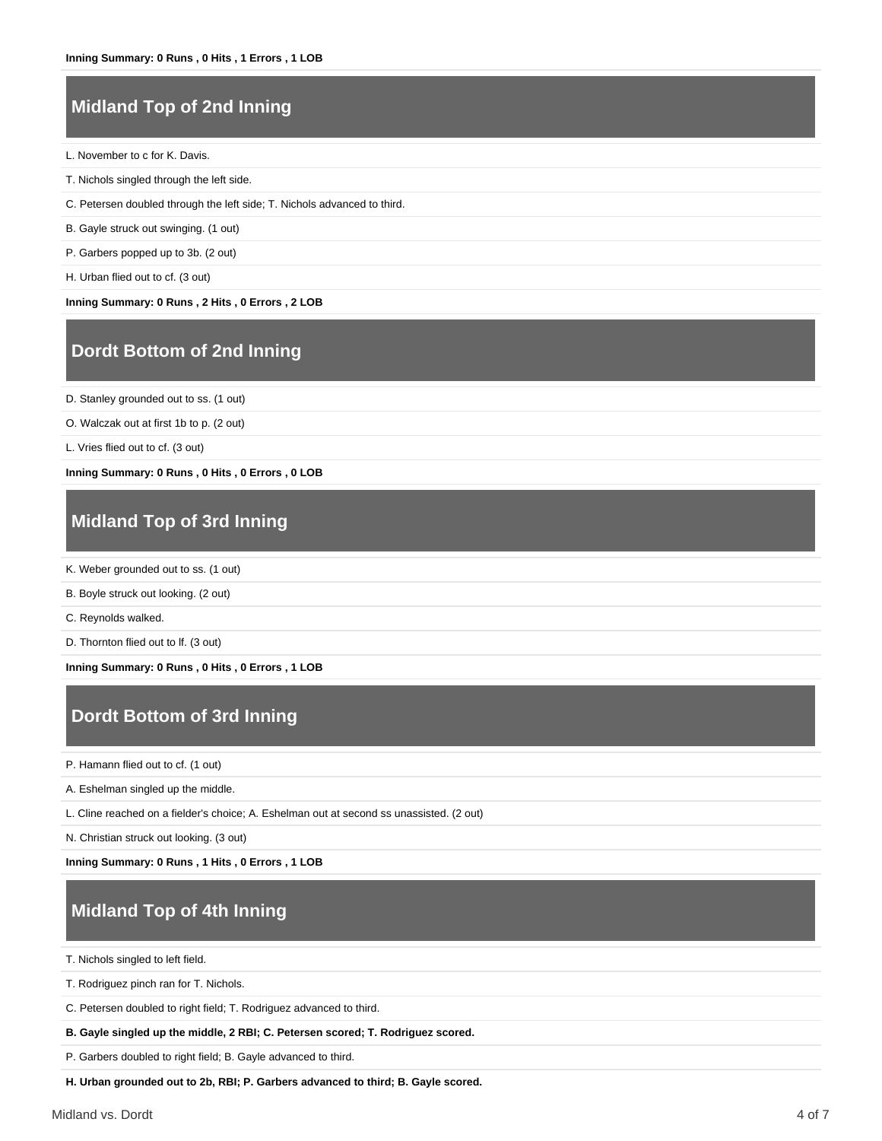#### **Midland Top of 2nd Inning**

L. November to c for K. Davis.

- T. Nichols singled through the left side.
- C. Petersen doubled through the left side; T. Nichols advanced to third.
- B. Gayle struck out swinging. (1 out)
- P. Garbers popped up to 3b. (2 out)
- H. Urban flied out to cf. (3 out)

**Inning Summary: 0 Runs , 2 Hits , 0 Errors , 2 LOB**

#### **Dordt Bottom of 2nd Inning**

D. Stanley grounded out to ss. (1 out)

O. Walczak out at first 1b to p. (2 out)

L. Vries flied out to cf. (3 out)

**Inning Summary: 0 Runs , 0 Hits , 0 Errors , 0 LOB**

#### **Midland Top of 3rd Inning**

K. Weber grounded out to ss. (1 out)

B. Boyle struck out looking. (2 out)

C. Reynolds walked.

D. Thornton flied out to lf. (3 out)

**Inning Summary: 0 Runs , 0 Hits , 0 Errors , 1 LOB**

#### **Dordt Bottom of 3rd Inning**

P. Hamann flied out to cf. (1 out)

A. Eshelman singled up the middle.

L. Cline reached on a fielder's choice; A. Eshelman out at second ss unassisted. (2 out)

N. Christian struck out looking. (3 out)

**Inning Summary: 0 Runs , 1 Hits , 0 Errors , 1 LOB**

#### **Midland Top of 4th Inning**

T. Nichols singled to left field.

T. Rodriguez pinch ran for T. Nichols.

C. Petersen doubled to right field; T. Rodriguez advanced to third.

**B. Gayle singled up the middle, 2 RBI; C. Petersen scored; T. Rodriguez scored.**

P. Garbers doubled to right field; B. Gayle advanced to third.

**H. Urban grounded out to 2b, RBI; P. Garbers advanced to third; B. Gayle scored.**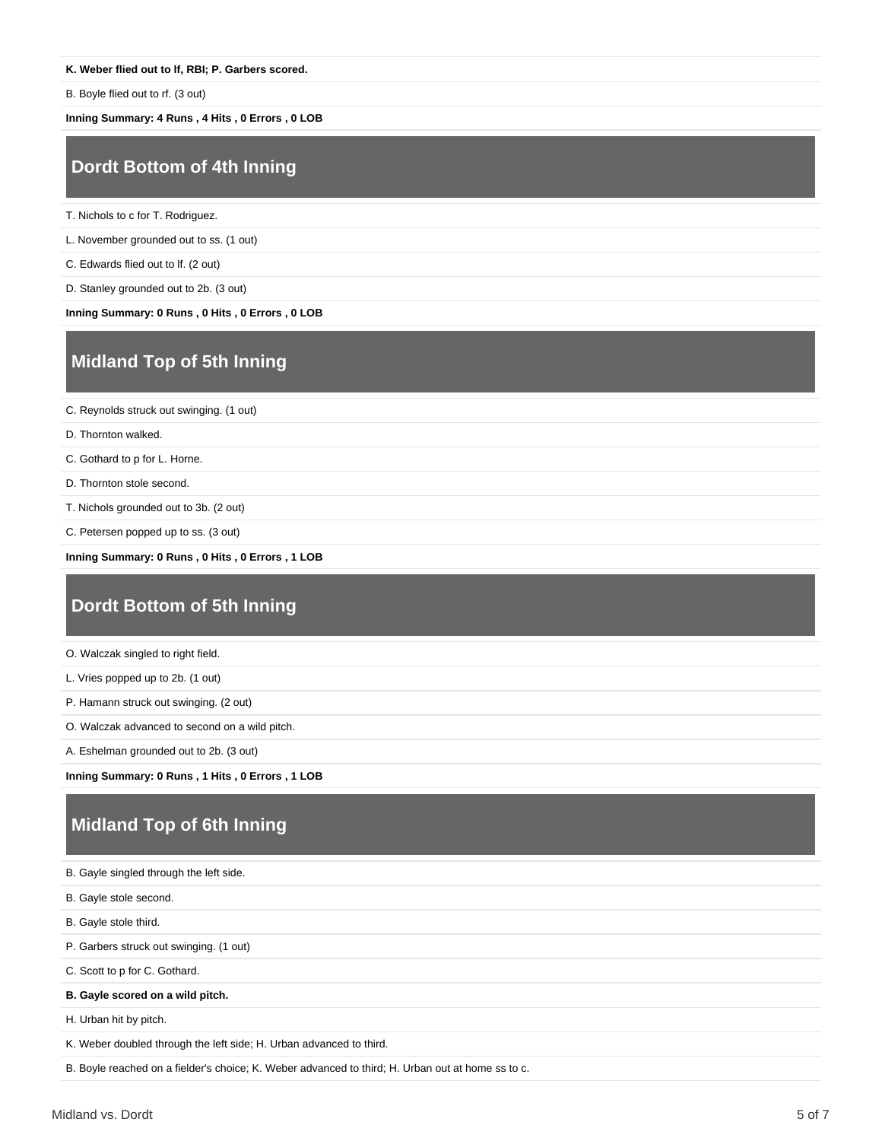#### **K. Weber flied out to lf, RBI; P. Garbers scored.**

B. Boyle flied out to rf. (3 out)

**Inning Summary: 4 Runs , 4 Hits , 0 Errors , 0 LOB**

#### **Dordt Bottom of 4th Inning**

T. Nichols to c for T. Rodriguez.

L. November grounded out to ss. (1 out)

C. Edwards flied out to lf. (2 out)

D. Stanley grounded out to 2b. (3 out)

**Inning Summary: 0 Runs , 0 Hits , 0 Errors , 0 LOB**

#### **Midland Top of 5th Inning**

C. Reynolds struck out swinging. (1 out)

D. Thornton walked.

C. Gothard to p for L. Horne.

D. Thornton stole second.

T. Nichols grounded out to 3b. (2 out)

C. Petersen popped up to ss. (3 out)

**Inning Summary: 0 Runs , 0 Hits , 0 Errors , 1 LOB**

#### **Dordt Bottom of 5th Inning**

O. Walczak singled to right field.

L. Vries popped up to 2b. (1 out)

P. Hamann struck out swinging. (2 out)

O. Walczak advanced to second on a wild pitch.

A. Eshelman grounded out to 2b. (3 out)

**Inning Summary: 0 Runs , 1 Hits , 0 Errors , 1 LOB**

#### **Midland Top of 6th Inning**

B. Gayle singled through the left side. B. Gayle stole second. B. Gayle stole third. P. Garbers struck out swinging. (1 out) C. Scott to p for C. Gothard. **B. Gayle scored on a wild pitch.** H. Urban hit by pitch. K. Weber doubled through the left side; H. Urban advanced to third. B. Boyle reached on a fielder's choice; K. Weber advanced to third; H. Urban out at home ss to c.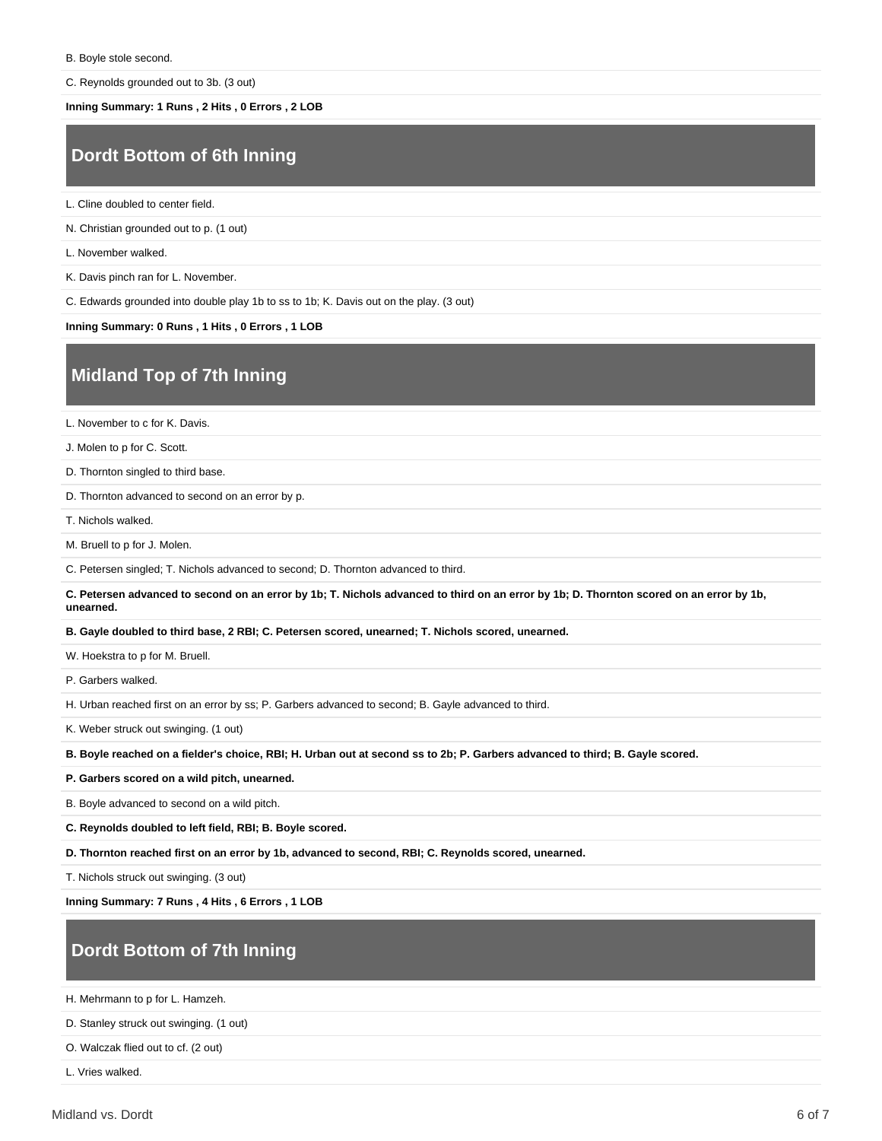C. Reynolds grounded out to 3b. (3 out)

**Inning Summary: 1 Runs , 2 Hits , 0 Errors , 2 LOB**

#### **Dordt Bottom of 6th Inning**

L. Cline doubled to center field.

N. Christian grounded out to p. (1 out)

L. November walked.

K. Davis pinch ran for L. November.

C. Edwards grounded into double play 1b to ss to 1b; K. Davis out on the play. (3 out)

**Inning Summary: 0 Runs , 1 Hits , 0 Errors , 1 LOB**

#### **Midland Top of 7th Inning**

L. November to c for K. Davis.

J. Molen to p for C. Scott.

D. Thornton singled to third base.

D. Thornton advanced to second on an error by p.

T. Nichols walked.

M. Bruell to p for J. Molen.

C. Petersen singled; T. Nichols advanced to second; D. Thornton advanced to third.

**C. Petersen advanced to second on an error by 1b; T. Nichols advanced to third on an error by 1b; D. Thornton scored on an error by 1b, unearned.**

**B. Gayle doubled to third base, 2 RBI; C. Petersen scored, unearned; T. Nichols scored, unearned.**

W. Hoekstra to p for M. Bruell.

P. Garbers walked.

H. Urban reached first on an error by ss; P. Garbers advanced to second; B. Gayle advanced to third.

K. Weber struck out swinging. (1 out)

**B. Boyle reached on a fielder's choice, RBI; H. Urban out at second ss to 2b; P. Garbers advanced to third; B. Gayle scored.**

**P. Garbers scored on a wild pitch, unearned.**

B. Boyle advanced to second on a wild pitch.

**C. Reynolds doubled to left field, RBI; B. Boyle scored.**

**D. Thornton reached first on an error by 1b, advanced to second, RBI; C. Reynolds scored, unearned.**

T. Nichols struck out swinging. (3 out)

**Inning Summary: 7 Runs , 4 Hits , 6 Errors , 1 LOB**

## **Dordt Bottom of 7th Inning**

H. Mehrmann to p for L. Hamzeh.

D. Stanley struck out swinging. (1 out)

O. Walczak flied out to cf. (2 out)

L. Vries walked.